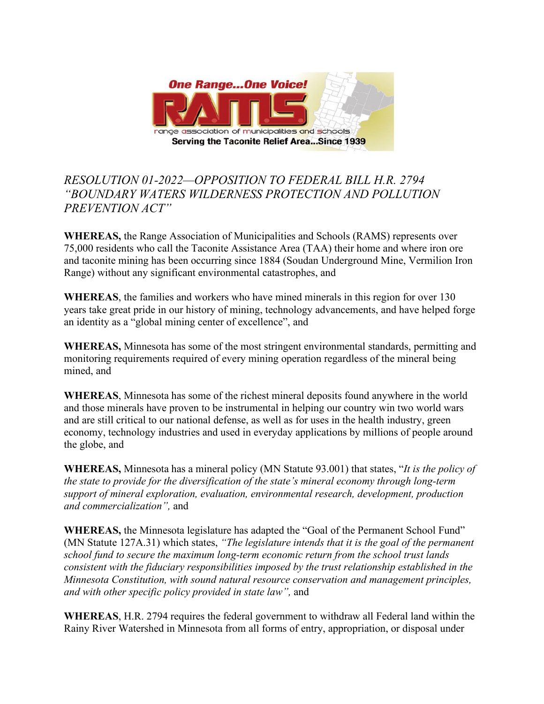

## *RESOLUTION 01-2022—OPPOSITION TO FEDERAL BILL H.R. 2794 "BOUNDARY WATERS WILDERNESS PROTECTION AND POLLUTION PREVENTION ACT"*

**WHEREAS,** the Range Association of Municipalities and Schools (RAMS) represents over 75,000 residents who call the Taconite Assistance Area (TAA) their home and where iron ore and taconite mining has been occurring since 1884 (Soudan Underground Mine, Vermilion Iron Range) without any significant environmental catastrophes, and

**WHEREAS**, the families and workers who have mined minerals in this region for over 130 years take great pride in our history of mining, technology advancements, and have helped forge an identity as a "global mining center of excellence", and

**WHEREAS,** Minnesota has some of the most stringent environmental standards, permitting and monitoring requirements required of every mining operation regardless of the mineral being mined, and

**WHEREAS**, Minnesota has some of the richest mineral deposits found anywhere in the world and those minerals have proven to be instrumental in helping our country win two world wars and are still critical to our national defense, as well as for uses in the health industry, green economy, technology industries and used in everyday applications by millions of people around the globe, and

**WHEREAS,** Minnesota has a mineral policy (MN Statute 93.001) that states, "*It is the policy of the state to provide for the diversification of the state's mineral economy through long-term support of mineral exploration, evaluation, environmental research, development, production and commercialization",* and

**WHEREAS,** the Minnesota legislature has adapted the "Goal of the Permanent School Fund" (MN Statute 127A.31) which states, *"The legislature intends that it is the goal of the permanent school fund to secure the maximum long-term economic return from the school trust lands consistent with the fiduciary responsibilities imposed by the trust relationship established in the Minnesota Constitution, with sound natural resource conservation and management principles, and with other specific policy provided in state law",* and

**WHEREAS**, H.R. 2794 requires the federal government to withdraw all Federal land within the Rainy River Watershed in Minnesota from all forms of entry, appropriation, or disposal under